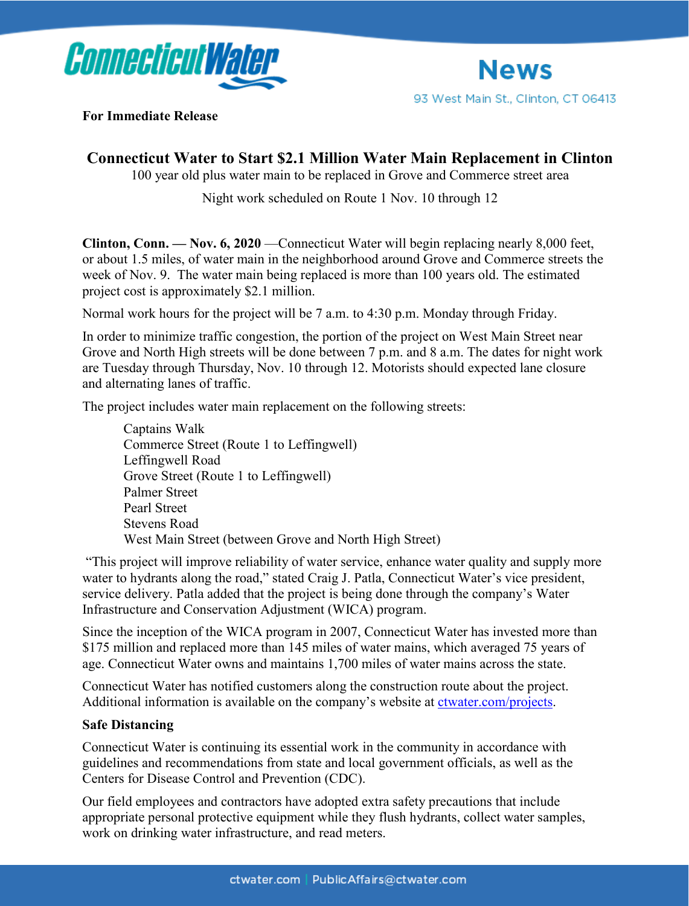



**For Immediate Release**

## **Connecticut Water to Start \$2.1 Million Water Main Replacement in Clinton**

100 year old plus water main to be replaced in Grove and Commerce street area

Night work scheduled on Route 1 Nov. 10 through 12

**Clinton, Conn. — Nov. 6, 2020** —Connecticut Water will begin replacing nearly 8,000 feet, or about 1.5 miles, of water main in the neighborhood around Grove and Commerce streets the week of Nov. 9. The water main being replaced is more than 100 years old. The estimated project cost is approximately \$2.1 million.

Normal work hours for the project will be 7 a.m. to 4:30 p.m. Monday through Friday.

In order to minimize traffic congestion, the portion of the project on West Main Street near Grove and North High streets will be done between 7 p.m. and 8 a.m. The dates for night work are Tuesday through Thursday, Nov. 10 through 12. Motorists should expected lane closure and alternating lanes of traffic.

The project includes water main replacement on the following streets:

Captains Walk Commerce Street (Route 1 to Leffingwell) Leffingwell Road Grove Street (Route 1 to Leffingwell) Palmer Street Pearl Street Stevens Road West Main Street (between Grove and North High Street)

"This project will improve reliability of water service, enhance water quality and supply more water to hydrants along the road," stated Craig J. Patla, Connecticut Water's vice president, service delivery. Patla added that the project is being done through the company's Water Infrastructure and Conservation Adjustment (WICA) program.

Since the inception of the WICA program in 2007, Connecticut Water has invested more than \$175 million and replaced more than 145 miles of water mains, which averaged 75 years of age. Connecticut Water owns and maintains 1,700 miles of water mains across the state.

Connecticut Water has notified customers along the construction route about the project. Additional information is available on the company's website at [ctwater.com/projects.](http://www.ctwater.com/projects)

## **Safe Distancing**

Connecticut Water is continuing its essential work in the community in accordance with guidelines and recommendations from state and local government officials, as well as the Centers for Disease Control and Prevention (CDC).

Our field employees and contractors have adopted extra safety precautions that include appropriate personal protective equipment while they flush hydrants, collect water samples, work on drinking water infrastructure, and read meters.